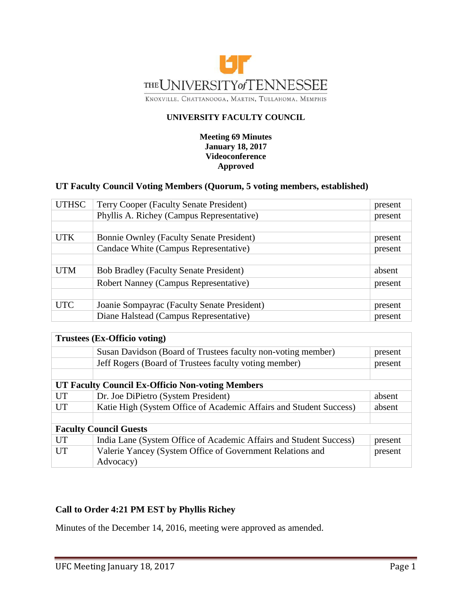

#### **UNIVERSITY FACULTY COUNCIL**

#### **Meeting 69 Minutes January 18, 2017 Videoconference Approved**

### **UT Faculty Council Voting Members (Quorum, 5 voting members, established)**

| <b>UTHSC</b> | Terry Cooper (Faculty Senate President)         | present |
|--------------|-------------------------------------------------|---------|
|              | Phyllis A. Richey (Campus Representative)       | present |
|              |                                                 |         |
| <b>UTK</b>   | <b>Bonnie Ownley (Faculty Senate President)</b> | present |
|              | Candace White (Campus Representative)           | present |
|              |                                                 |         |
| <b>UTM</b>   | <b>Bob Bradley (Faculty Senate President)</b>   | absent  |
|              | Robert Nanney (Campus Representative)           | present |
|              |                                                 |         |
| <b>UTC</b>   | Joanie Sompayrac (Faculty Senate President)     | present |
|              | Diane Halstead (Campus Representative)          | present |

| Trustees (Ex-Officio voting)                            |                                                                    |         |  |
|---------------------------------------------------------|--------------------------------------------------------------------|---------|--|
|                                                         | Susan Davidson (Board of Trustees faculty non-voting member)       | present |  |
|                                                         | Jeff Rogers (Board of Trustees faculty voting member)              | present |  |
|                                                         |                                                                    |         |  |
| <b>UT Faculty Council Ex-Officio Non-voting Members</b> |                                                                    |         |  |
| UT                                                      | Dr. Joe DiPietro (System President)                                | absent  |  |
| UT                                                      | Katie High (System Office of Academic Affairs and Student Success) | absent  |  |
|                                                         |                                                                    |         |  |
| <b>Faculty Council Guests</b>                           |                                                                    |         |  |
| UT                                                      | India Lane (System Office of Academic Affairs and Student Success) | present |  |
| UT                                                      | Valerie Yancey (System Office of Government Relations and          | present |  |
|                                                         | Advocacy)                                                          |         |  |

### **Call to Order 4:21 PM EST by Phyllis Richey**

Minutes of the December 14, 2016, meeting were approved as amended.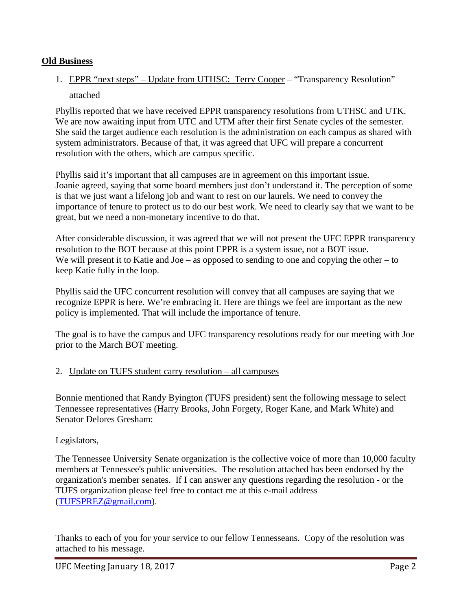### **Old Business**

# 1. EPPR "next steps" – Update from UTHSC: Terry Cooper – "Transparency Resolution" attached

Phyllis reported that we have received EPPR transparency resolutions from UTHSC and UTK. We are now awaiting input from UTC and UTM after their first Senate cycles of the semester. She said the target audience each resolution is the administration on each campus as shared with system administrators. Because of that, it was agreed that UFC will prepare a concurrent resolution with the others, which are campus specific.

Phyllis said it's important that all campuses are in agreement on this important issue. Joanie agreed, saying that some board members just don't understand it. The perception of some is that we just want a lifelong job and want to rest on our laurels. We need to convey the importance of tenure to protect us to do our best work. We need to clearly say that we want to be great, but we need a non-monetary incentive to do that.

After considerable discussion, it was agreed that we will not present the UFC EPPR transparency resolution to the BOT because at this point EPPR is a system issue, not a BOT issue. We will present it to Katie and Joe – as opposed to sending to one and copying the other – to keep Katie fully in the loop.

Phyllis said the UFC concurrent resolution will convey that all campuses are saying that we recognize EPPR is here. We're embracing it. Here are things we feel are important as the new policy is implemented. That will include the importance of tenure.

The goal is to have the campus and UFC transparency resolutions ready for our meeting with Joe prior to the March BOT meeting.

### 2. Update on TUFS student carry resolution – all campuses

Bonnie mentioned that Randy Byington (TUFS president) sent the following message to select Tennessee representatives (Harry Brooks, John Forgety, Roger Kane, and Mark White) and Senator Delores Gresham:

Legislators,

The Tennessee University Senate organization is the collective voice of more than 10,000 faculty members at Tennessee's public universities. The resolution attached has been endorsed by the organization's member senates. If I can answer any questions regarding the resolution - or the TUFS organization please feel free to contact me at this e-mail address [\(TUFSPREZ@gmail.com\)](mailto:TUFSPREZ@gmail.com).

Thanks to each of you for your service to our fellow Tennesseans. Copy of the resolution was attached to his message.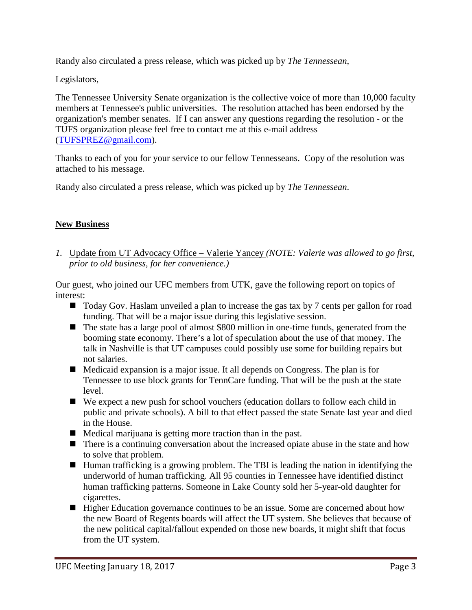Randy also circulated a press release, which was picked up by *The Tennessean*,

Legislators,

The Tennessee University Senate organization is the collective voice of more than 10,000 faculty members at Tennessee's public universities. The resolution attached has been endorsed by the organization's member senates. If I can answer any questions regarding the resolution - or the TUFS organization please feel free to contact me at this e-mail address [\(TUFSPREZ@gmail.com\)](mailto:TUFSPREZ@gmail.com).

Thanks to each of you for your service to our fellow Tennesseans. Copy of the resolution was attached to his message.

Randy also circulated a press release, which was picked up by *The Tennessean*.

## **New Business**

*1.* Update from UT Advocacy Office – Valerie Yancey *(NOTE: Valerie was allowed to go first, prior to old business, for her convenience.)*

Our guest, who joined our UFC members from UTK, gave the following report on topics of interest:

- $\blacksquare$  Today Gov. Haslam unveiled a plan to increase the gas tax by 7 cents per gallon for road funding. That will be a major issue during this legislative session.
- The state has a large pool of almost \$800 million in one-time funds, generated from the booming state economy. There's a lot of speculation about the use of that money. The talk in Nashville is that UT campuses could possibly use some for building repairs but not salaries.
- Medicaid expansion is a major issue. It all depends on Congress. The plan is for Tennessee to use block grants for TennCare funding. That will be the push at the state level.
- We expect a new push for school vouchers (education dollars to follow each child in public and private schools). A bill to that effect passed the state Senate last year and died in the House.
- $\blacksquare$  Medical marijuana is getting more traction than in the past.
- There is a continuing conversation about the increased opiate abuse in the state and how to solve that problem.
- Human trafficking is a growing problem. The TBI is leading the nation in identifying the underworld of human trafficking. All 95 counties in Tennessee have identified distinct human trafficking patterns. Someone in Lake County sold her 5-year-old daughter for cigarettes.
- Higher Education governance continues to be an issue. Some are concerned about how the new Board of Regents boards will affect the UT system. She believes that because of the new political capital/fallout expended on those new boards, it might shift that focus from the UT system.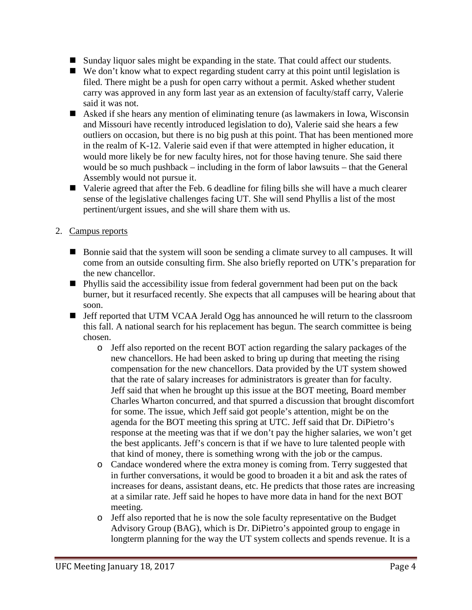- Sunday liquor sales might be expanding in the state. That could affect our students.
- We don't know what to expect regarding student carry at this point until legislation is filed. There might be a push for open carry without a permit. Asked whether student carry was approved in any form last year as an extension of faculty/staff carry, Valerie said it was not.
- Asked if she hears any mention of eliminating tenure (as lawmakers in Iowa, Wisconsin and Missouri have recently introduced legislation to do), Valerie said she hears a few outliers on occasion, but there is no big push at this point. That has been mentioned more in the realm of K-12. Valerie said even if that were attempted in higher education, it would more likely be for new faculty hires, not for those having tenure. She said there would be so much pushback – including in the form of labor lawsuits – that the General Assembly would not pursue it.
- Valerie agreed that after the Feb. 6 deadline for filing bills she will have a much clearer sense of the legislative challenges facing UT. She will send Phyllis a list of the most pertinent/urgent issues, and she will share them with us.

## 2. Campus reports

- Bonnie said that the system will soon be sending a climate survey to all campuses. It will come from an outside consulting firm. She also briefly reported on UTK's preparation for the new chancellor.
- Phyllis said the accessibility issue from federal government had been put on the back burner, but it resurfaced recently. She expects that all campuses will be hearing about that soon.
- Jeff reported that UTM VCAA Jerald Ogg has announced he will return to the classroom this fall. A national search for his replacement has begun. The search committee is being chosen.
	- o Jeff also reported on the recent BOT action regarding the salary packages of the new chancellors. He had been asked to bring up during that meeting the rising compensation for the new chancellors. Data provided by the UT system showed that the rate of salary increases for administrators is greater than for faculty. Jeff said that when he brought up this issue at the BOT meeting, Board member Charles Wharton concurred, and that spurred a discussion that brought discomfort for some. The issue, which Jeff said got people's attention, might be on the agenda for the BOT meeting this spring at UTC. Jeff said that Dr. DiPietro's response at the meeting was that if we don't pay the higher salaries, we won't get the best applicants. Jeff's concern is that if we have to lure talented people with that kind of money, there is something wrong with the job or the campus.
	- o Candace wondered where the extra money is coming from. Terry suggested that in further conversations, it would be good to broaden it a bit and ask the rates of increases for deans, assistant deans, etc. He predicts that those rates are increasing at a similar rate. Jeff said he hopes to have more data in hand for the next BOT meeting.
	- o Jeff also reported that he is now the sole faculty representative on the Budget Advisory Group (BAG), which is Dr. DiPietro's appointed group to engage in longterm planning for the way the UT system collects and spends revenue. It is a